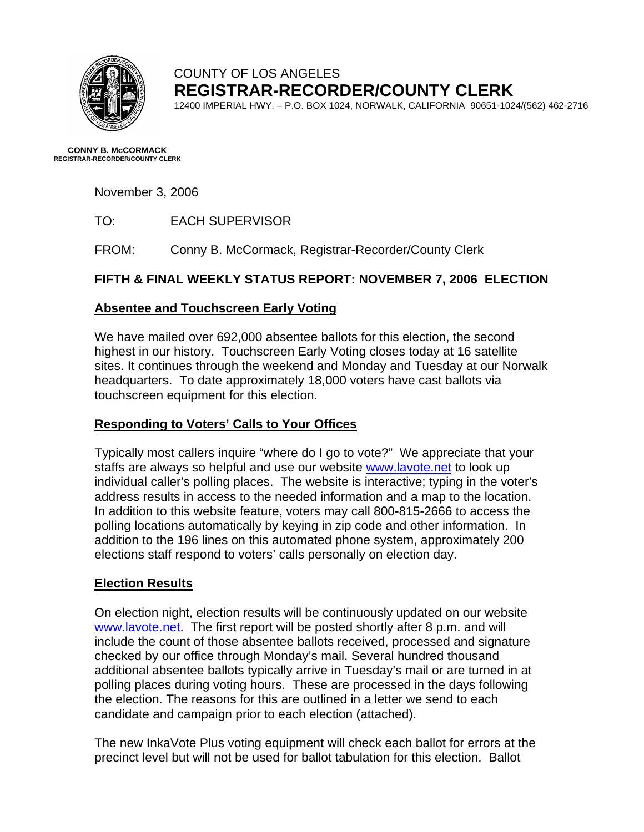

# COUNTY OF LOS ANGELES **REGISTRAR-RECORDER/COUNTY CLERK**

12400 IMPERIAL HWY. – P.O. BOX 1024, NORWALK, CALIFORNIA 90651-1024/(562) 462-2716

**CONNY B. McCORMACK REGISTRAR-RECORDER/COUNTY CLERK** 

November 3, 2006

TO: EACH SUPERVISOR

FROM: Conny B. McCormack, Registrar-Recorder/County Clerk

# **FIFTH & FINAL WEEKLY STATUS REPORT: NOVEMBER 7, 2006 ELECTION**

## **Absentee and Touchscreen Early Voting**

We have mailed over 692,000 absentee ballots for this election, the second highest in our history. Touchscreen Early Voting closes today at 16 satellite sites. It continues through the weekend and Monday and Tuesday at our Norwalk headquarters. To date approximately 18,000 voters have cast ballots via touchscreen equipment for this election.

# **Responding to Voters' Calls to Your Offices**

Typically most callers inquire "where do I go to vote?" We appreciate that your staffs are always so helpful and use our website [www.lavote.net](http://www.lavote.net/) to look up individual caller's polling places. The website is interactive; typing in the voter's address results in access to the needed information and a map to the location. In addition to this website feature, voters may call 800-815-2666 to access the polling locations automatically by keying in zip code and other information. In addition to the 196 lines on this automated phone system, approximately 200 elections staff respond to voters' calls personally on election day.

## **Election Results**

On election night, election results will be continuously updated on our website [www.lavote.net](http://www.lavote.net/). The first report will be posted shortly after 8 p.m. and will include the count of those absentee ballots received, processed and signature checked by our office through Monday's mail. Several hundred thousand additional absentee ballots typically arrive in Tuesday's mail or are turned in at polling places during voting hours. These are processed in the days following the election. The reasons for this are outlined in a letter we send to each candidate and campaign prior to each election (attached).

The new InkaVote Plus voting equipment will check each ballot for errors at the precinct level but will not be used for ballot tabulation for this election. Ballot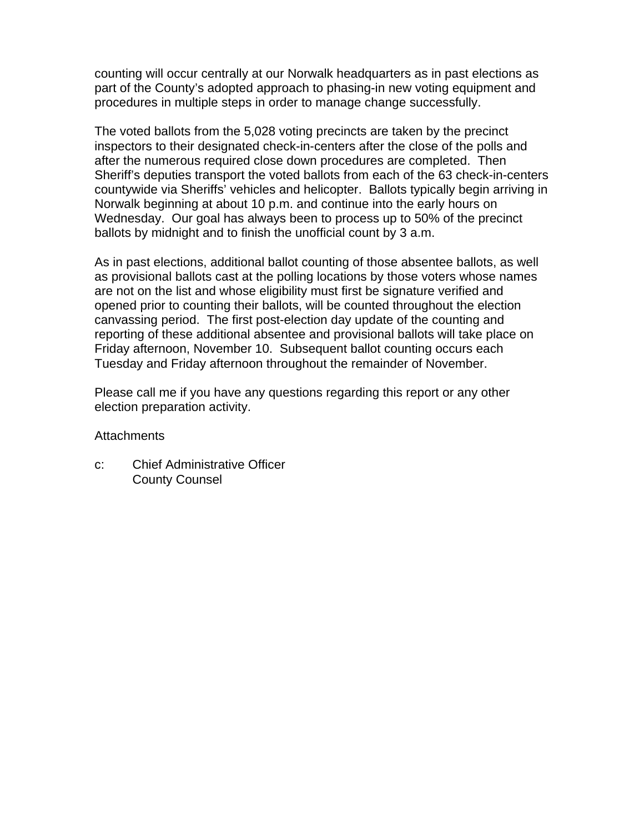counting will occur centrally at our Norwalk headquarters as in past elections as part of the County's adopted approach to phasing-in new voting equipment and procedures in multiple steps in order to manage change successfully.

The voted ballots from the 5,028 voting precincts are taken by the precinct inspectors to their designated check-in-centers after the close of the polls and after the numerous required close down procedures are completed. Then Sheriff's deputies transport the voted ballots from each of the 63 check-in-centers countywide via Sheriffs' vehicles and helicopter. Ballots typically begin arriving in Norwalk beginning at about 10 p.m. and continue into the early hours on Wednesday. Our goal has always been to process up to 50% of the precinct ballots by midnight and to finish the unofficial count by 3 a.m.

As in past elections, additional ballot counting of those absentee ballots, as well as provisional ballots cast at the polling locations by those voters whose names are not on the list and whose eligibility must first be signature verified and opened prior to counting their ballots, will be counted throughout the election canvassing period. The first post-election day update of the counting and reporting of these additional absentee and provisional ballots will take place on Friday afternoon, November 10. Subsequent ballot counting occurs each Tuesday and Friday afternoon throughout the remainder of November.

Please call me if you have any questions regarding this report or any other election preparation activity.

### **Attachments**

c: Chief Administrative Officer County Counsel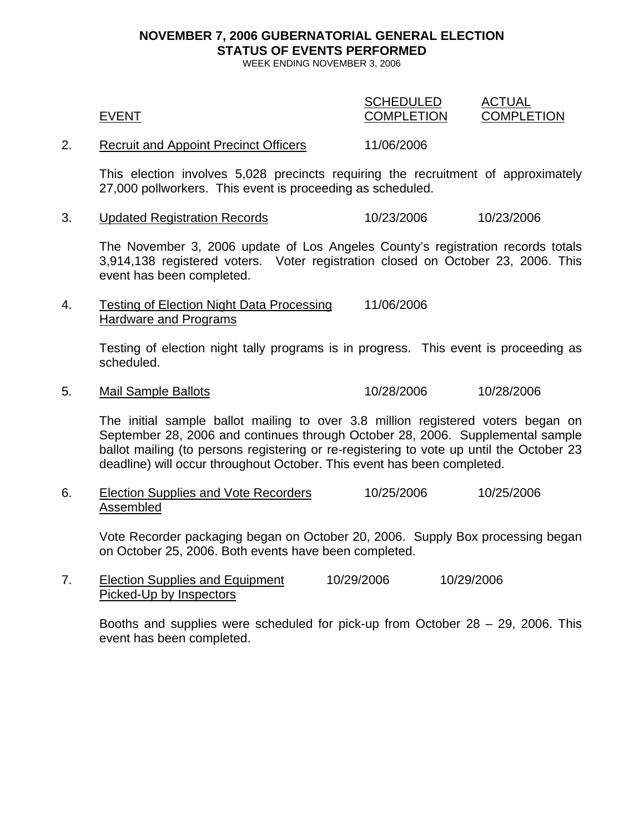# **NOVEMBER 7, 2006 GUBERNATORIAL GENERAL ELECTION STATUS OF EVENTS PERFORMED**

WEEK ENDING NOVEMBER 3, 2006

| <b>EVENT</b>                                 | <b>SCHEDULED</b><br><b>COMPLETION</b> | ACTUAL<br><b>COMPLETION</b> |
|----------------------------------------------|---------------------------------------|-----------------------------|
| <b>Recruit and Appoint Precinct Officers</b> | 11/06/2006                            |                             |

This election involves 5,028 precincts requiring the recruitment of approximately 27,000 pollworkers. This event is proceeding as scheduled.

3. Updated Registration Records 10/23/2006 10/23/2006

The November 3, 2006 update of Los Angeles County's registration records totals 3,914,138 registered voters. Voter registration closed on October 23, 2006. This event has been completed.

4. Testing of Election Night Data Processing 11/06/2006 Hardware and Programs

> Testing of election night tally programs is in progress. This event is proceeding as scheduled.

5. Mail Sample Ballots 10/28/2006 10/28/2006

The initial sample ballot mailing to over 3.8 million registered voters began on September 28, 2006 and continues through October 28, 2006. Supplemental sample ballot mailing (to persons registering or re-registering to vote up until the October 23 deadline) will occur throughout October. This event has been completed.

6. Election Supplies and Vote Recorders 10/25/2006 10/25/2006 Assembled

Vote Recorder packaging began on October 20, 2006. Supply Box processing began on October 25, 2006. Both events have been completed.

7. Election Supplies and Equipment 10/29/2006 10/29/2006 Picked-Up by Inspectors

Booths and supplies were scheduled for pick-up from October 28 – 29, 2006. This event has been completed.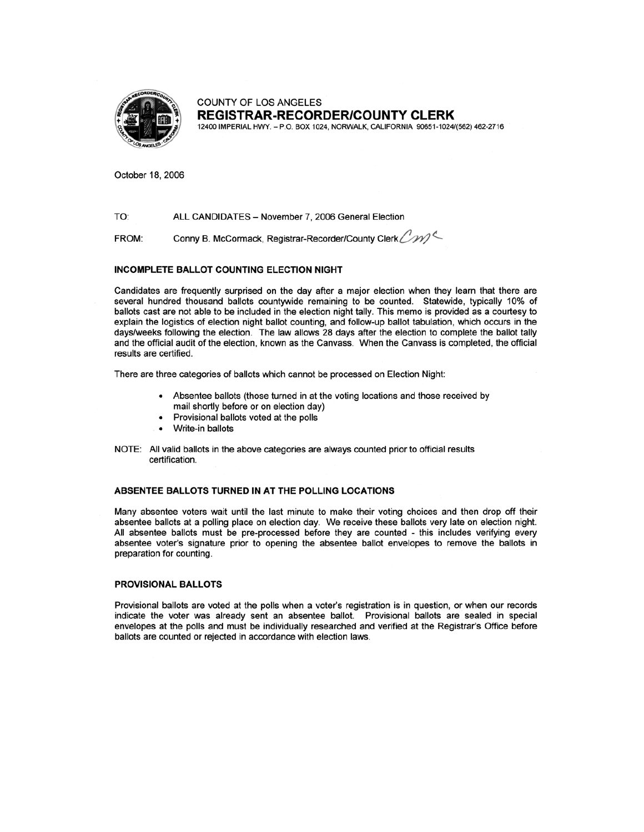

**COUNTY OF LOS ANGELES REGISTRAR-RECORDER/COUNTY CLERK** 

12400 IMPERIAL HWY. - P.O. BOX 1024, NORWALK, CALIFORNIA 90651-1024/(562) 462-2716

October 18, 2006

TO: ALL CANDIDATES - November 7, 2006 General Election

Conny B. McCormack, Registrar-Recorder/County Clerk CM FROM:

#### **INCOMPLETE BALLOT COUNTING ELECTION NIGHT**

Candidates are frequently surprised on the day after a major election when they learn that there are several hundred thousand ballots countywide remaining to be counted. Statewide, typically 10% of ballots cast are not able to be included in the election night tally. This memo is provided as a courtesy to explain the logistics of election night ballot counting, and follow-up ballot tabulation, which occurs in the days/weeks following the election. The law allows 28 days after the election to complete the ballot tally and the official audit of the election, known as the Canvass. When the Canvass is completed, the official results are certified.

There are three categories of ballots which cannot be processed on Election Night:

- Absentee ballots (those turned in at the voting locations and those received by mail shortly before or on election day)
- Provisional ballots voted at the polls
- Write-in ballots
- NOTE: All valid ballots in the above categories are always counted prior to official results certification.

#### ABSENTEE BALLOTS TURNED IN AT THE POLLING LOCATIONS

Many absentee voters wait until the last minute to make their voting choices and then drop off their absentee ballots at a polling place on election day. We receive these ballots very late on election night. All absentee ballots must be pre-processed before they are counted - this includes verifying every absentee voter's signature prior to opening the absentee ballot envelopes to remove the ballots in preparation for counting.

#### **PROVISIONAL BALLOTS**

Provisional ballots are voted at the polls when a voter's registration is in question, or when our records indicate the voter was already sent an absentee ballot. Provisional ballots are sealed in special envelopes at the polls and must be individually researched and verified at the Registrar's Office before ballots are counted or rejected in accordance with election laws.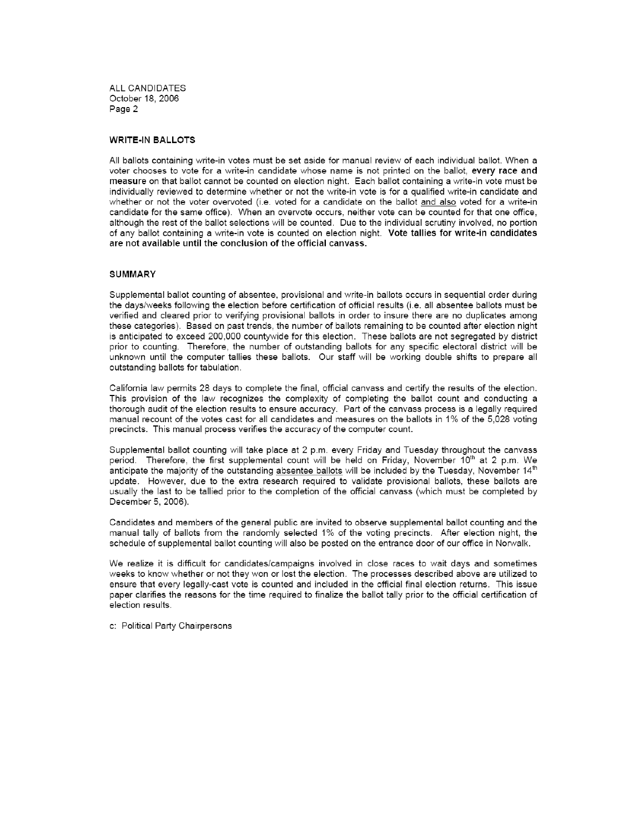ALL CANDIDATES October 18, 2006 Page 2

#### **WRITE-IN BALLOTS**

All ballots containing write-in votes must be set aside for manual review of each individual ballot. When a voter chooses to vote for a write-in candidate whose name is not printed on the ballot, every race and measure on that ballot cannot be counted on election night. Each ballot containing a write-in vote must be individually reviewed to determine whether or not the write-in vote is for a qualified write-in candidate and whether or not the voter overvoted (i.e. voted for a candidate on the ballot and also voted for a write-in candidate for the same office). When an overvote occurs, neither vote can be counted for that one office. although the rest of the ballot selections will be counted. Due to the individual scrutiny involved, no portion of any ballot containing a write-in vote is counted on election night. Vote tallies for write-in candidates are not available until the conclusion of the official canvass.

#### **SUMMARY**

Supplemental ballot counting of absentee, provisional and write-in ballots occurs in sequential order during the days/weeks following the election before certification of official results (i.e. all absentee ballots must be verified and cleared prior to verifying provisional ballots in order to insure there are no duplicates among these categories). Based on past trends, the number of ballots remaining to be counted after election night is anticipated to exceed 200,000 countywide for this election. These ballots are not segregated by district prior to counting. Therefore, the number of outstanding ballots for any specific electoral district will be unknown until the computer tallies these ballots. Our staff will be working double shifts to prepare all outstanding ballots for tabulation.

California law permits 28 days to complete the final, official canvass and certify the results of the election. This provision of the law recognizes the complexity of completing the ballot count and conducting a thorough audit of the election results to ensure accuracy. Part of the canvass process is a legally required manual recount of the votes cast for all candidates and measures on the ballots in 1% of the 5,028 voting precincts. This manual process verifies the accuracy of the computer count.

Supplemental ballot counting will take place at 2 p.m. every Friday and Tuesday throughout the canvass period. Therefore, the first supplemental count will be held on Friday, November 10<sup>th</sup> at 2 p.m. We anticipate the majority of the outstanding absentee ballots will be included by the Tuesday, November 14<sup>th</sup> update. However, due to the extra research required to validate provisional ballots, these ballots are usually the last to be tallied prior to the completion of the official canvass (which must be completed by December 5, 2006).

Candidates and members of the general public are invited to observe supplemental ballot counting and the manual tally of ballots from the randomly selected 1% of the voting precincts. After election night, the schedule of supplemental ballot counting will also be posted on the entrance door of our office in Norwalk.

We realize it is difficult for candidates/campaigns involved in close races to wait days and sometimes weeks to know whether or not they won or lost the election. The processes described above are utilized to ensure that every legally-cast vote is counted and included in the official final election returns. This issue paper clarifies the reasons for the time required to finalize the ballot tally prior to the official certification of election results.

c: Political Party Chairpersons